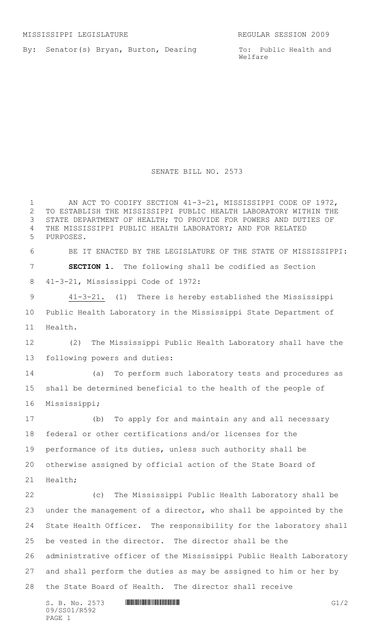By: Senator(s) Bryan, Burton, Dearing

To: Public Health and Welfare

## SENATE BILL NO. 2573

 $S. B. No. 2573$  **INIIIIIIIIIIIIIIIIIIIIIIIIIIIIIIII** 1 AN ACT TO CODIFY SECTION 41-3-21, MISSISSIPPI CODE OF 1972, TO ESTABLISH THE MISSISSIPPI PUBLIC HEALTH LABORATORY WITHIN THE STATE DEPARTMENT OF HEALTH; TO PROVIDE FOR POWERS AND DUTIES OF THE MISSISSIPPI PUBLIC HEALTH LABORATORY; AND FOR RELATED PURPOSES. BE IT ENACTED BY THE LEGISLATURE OF THE STATE OF MISSISSIPPI: **SECTION 1.** The following shall be codified as Section 41-3-21, Mississippi Code of 1972:  $41-3-21$ . (1) There is hereby established the Mississippi Public Health Laboratory in the Mississippi State Department of Health. (2) The Mississippi Public Health Laboratory shall have the following powers and duties: (a) To perform such laboratory tests and procedures as shall be determined beneficial to the health of the people of Mississippi; (b) To apply for and maintain any and all necessary federal or other certifications and/or licenses for the performance of its duties, unless such authority shall be otherwise assigned by official action of the State Board of Health; (c) The Mississippi Public Health Laboratory shall be under the management of a director, who shall be appointed by the State Health Officer. The responsibility for the laboratory shall be vested in the director. The director shall be the administrative officer of the Mississippi Public Health Laboratory and shall perform the duties as may be assigned to him or her by the State Board of Health. The director shall receive

09/SS01/R592 PAGE 1